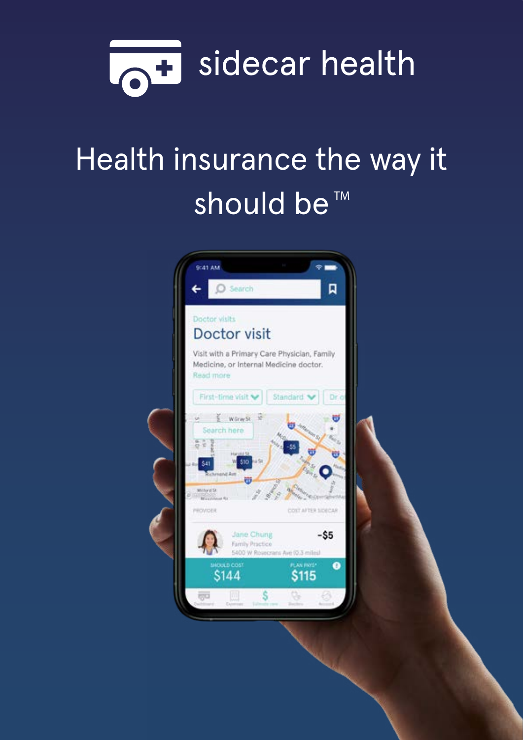

# Health insurance the way it should be<sup>™</sup>

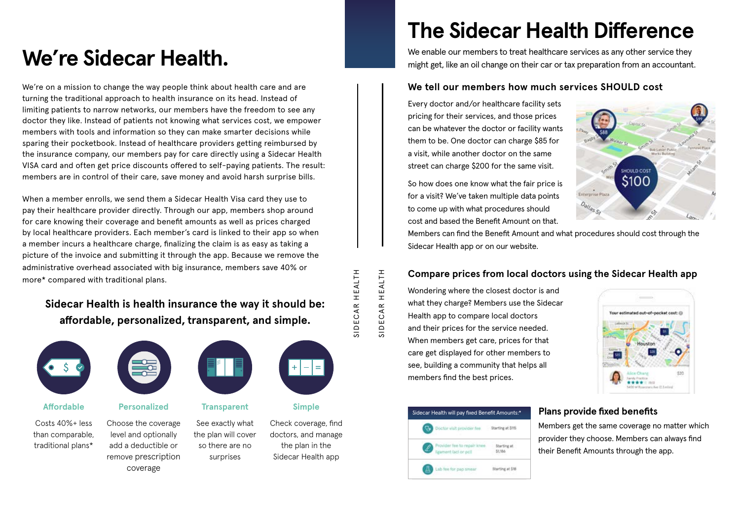We're on a mission to change the way people think about health care and are turning the traditional approach to health insurance on its head. Instead of limiting patients to narrow networks, our members have the freedom to see any doctor they like. Instead of patients not knowing what services cost, we empower members with tools and information so they can make smarter decisions while sparing their pocketbook. Instead of healthcare providers getting reimbursed by the insurance company, our members pay for care directly using a Sidecar Health VISA card and often get price discounts offered to self-paying patients. The result: members are in control of their care, save money and avoid harsh surprise bills.

When a member enrolls, we send them a Sidecar Health Visa card they use to pay their healthcare provider directly. Through our app, members shop around for care knowing their coverage and benefit amounts as well as prices charged by local healthcare providers. Each member's card is linked to their app so when a member incurs a healthcare charge, finalizing the claim is as easy as taking a picture of the invoice and submitting it through the app. Because we remove the administrative overhead associated with big insurance, members save 40% or more\* compared with traditional plans.

# **The Sidecar Health Difference**

We enable our members to treat healthcare services as any other service they we enable our members to treat healthcare services as any other service they might get, like an oil change on their car or tax preparation from a

#### **Affordable Personalized Transparent Simple**

SIDECAR HEALTH SIDECAR HEALTH

Costs 40%+ less than comparable, traditional plans\*



Choose the coverage level and optionally add a deductible or remove prescription coverage

| ۰ | —<br>_<br>_<br>_<br>_ | __<br>_<br>_<br>=<br>_<br>_<br>۰ |
|---|-----------------------|----------------------------------|
|   |                       |                                  |

See exactly what the plan will cover so there are no surprises



Check coverage, find doctors, and manage

the plan in the Sidecar Health app Every doctor and/or healthcare facility sets pricing for their services, and those prices can be whatever the doctor or facility wants them to be. One doctor can charge \$85 for a visit, while another doctor on the same street can charge \$200 for the same visit.

So how does one know what the fair price is Enterprise Plaza for a visit? We've taken multiple data points to come up with what procedures should cost and based the Benefit Amount on that. Members can find the Benefit Amount and what procedures should cost through the Sidecar Health app or on our website.

Wondering where the closest doctor is and what they charge? Members use the Sidecar Health app to compare local doctors and their prices for the service needed. When members get care, prices for that care get displayed for other members to see, building a community that helps all members find the best prices.

> Members get the same coverage no matter which provider they choose. Members can always find their Benefit Amounts through the app.





## **We tell our members how much services SHOULD cost**

## **Compare prices from local doctors using the Sidecar Health app**

#### **Plans provide fixed benefits**

# **Sidecar Health is health insurance the way it should be: affordable, personalized, transparent, and simple.**



SIDECAR HEALTH

SIDECAR HEALTH

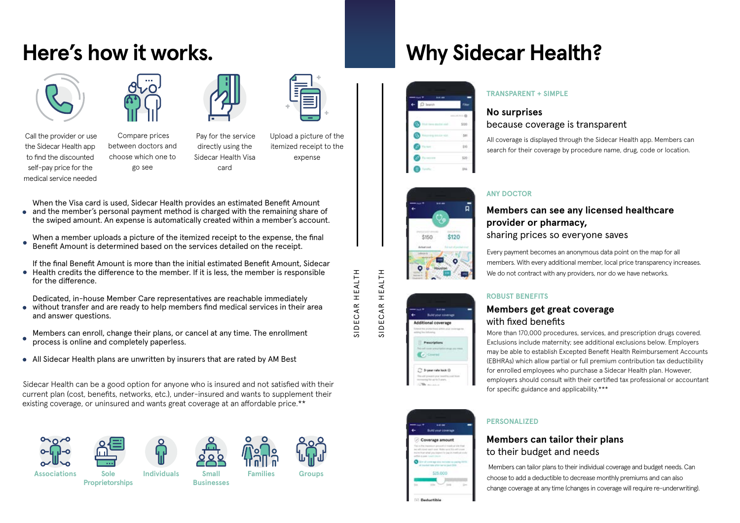# **Here's how it works.**



 Call the provider or use the Sidecar Health app to find the discounted self-pay price for the medical service needed



 Compare prices between doctors and choose which one to go see



SIDECAR HEALTH SIDECAR HEALTH



SIDECAR HEALTH

 Pay for the service directly using the Sidecar Health Visa card

Upload a picture of the

itemized receipt to the expense

> Every payment becomes an anonymous data point on the map for all members. With every additional member, local price transparency increases. We do not contract with any providers, nor do we have networks.

SIDECAR HEALTH

#### **No surprises** because coverage is transparent

All coverage is displayed through the Sidecar Health app. Members can search for their coverage by procedure name, drug, code or location.

#### **TRANSPARENT + SIMPLE**

#### **Members can see any licensed healthcare provider or pharmacy,**  sharing prices so everyone saves

#### **ANY DOCTOR**

## **Members get great coverage** with fixed benefits

More than 170,000 procedures, services, and prescription drugs covered. Exclusions include maternity; see additional exclusions below. Employers may be able to establish Excepted Benefit Health Reimbursement Accounts (EBHRAs) which allow partial or full premium contribution tax deductibility for enrolled employees who purchase a Sidecar Health plan. However, employers should consult with their certified tax professional or accountant for specific guidance and applicability.\*\*\*

# Coverage amount \$25,000

Sidecar Health can be a good option for anyone who is insured and not satisfied with their current plan (cost, benefits, networks, etc.), under-insured and wants to supplement their existing coverage, or uninsured and wants great coverage at an affordable price.\*\*













#### **ROBUST BENEFITS**

## **Members can tailor their plans** to their budget and needs

 Members can tailor plans to their individual coverage and budget needs. Can choose to add a deductible to decrease monthly premiums and can also change coverage at any time (changes in coverage will require re-underwriting).

#### **PERSONALIZED**

**Why Sidecar Health?**

 $\overline{a}$ 

\$120

 $\bullet$ 

\$150

ditional coverage

**Report Follow** 

<sup>2</sup> Shower rate look 0



When the Visa card is used, Sidecar Health provides an estimated Benefit Amount • and the member's personal payment method is charged with the remaining share of the swiped amount. An expense is automatically created within a member's account.

When a member uploads a picture of the itemized receipt to the expense, the final Benefit Amount is determined based on the services detailed on the receipt.

If the final Benefit Amount is more than the initial estimated Benefit Amount, Sidecar Health credits the difference to the member. If it is less, the member is responsible for the difference.

Dedicated, in-house Member Care representatives are reachable immediately without transfer and are ready to help members find medical services in their area  $\bullet$ and answer questions.

Members can enroll, change their plans, or cancel at any time. The enrollment process is online and completely paperless.

All Sidecar Health plans are unwritten by insurers that are rated by AM Best

**Sole Proprietorships**



**Small Businesses Associations Individuals Families Groups**